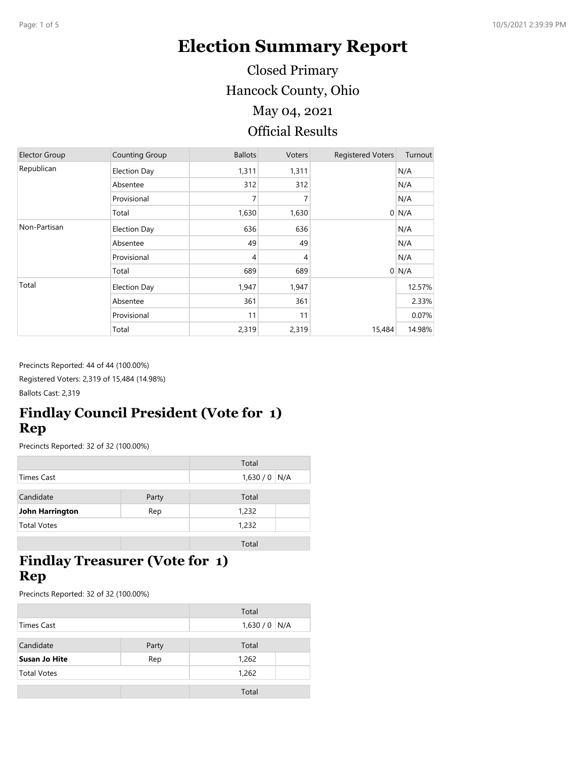# **Election Summary Report**

Hancock County, Ohio Official Results May 04, 2021 Closed Primary

| <b>Elector Group</b> | <b>Counting Group</b> | <b>Ballots</b> | Voters | <b>Registered Voters</b> | Turnout |
|----------------------|-----------------------|----------------|--------|--------------------------|---------|
| Republican           | <b>Election Day</b>   | 1,311          | 1,311  |                          | N/A     |
|                      | Absentee              | 312            | 312    |                          | N/A     |
|                      | Provisional           | 7              |        |                          | N/A     |
|                      | Total                 | 1,630          | 1,630  | $\overline{0}$           | N/A     |
| Non-Partisan         | <b>Election Day</b>   | 636            | 636    |                          | N/A     |
|                      | Absentee              | 49             | 49     |                          | N/A     |
|                      | Provisional           | $\overline{4}$ | 4      |                          | N/A     |
|                      | Total                 | 689            | 689    |                          | $0$ N/A |
| Total                | <b>Election Day</b>   | 1,947          | 1,947  |                          | 12.57%  |
|                      | Absentee              | 361            | 361    |                          | 2.33%   |
|                      | Provisional           | 11             | 11     |                          | 0.07%   |
|                      | Total                 | 2,319          | 2,319  | 15,484                   | 14.98%  |

Precincts Reported: 44 of 44 (100.00%)

Registered Voters: 2,319 of 15,484 (14.98%)

Ballots Cast: 2,319

## **Findlay Council President (Vote for 1) Rep**

Precincts Reported: 32 of 32 (100.00%)

|                    |       | Total         |  |
|--------------------|-------|---------------|--|
| Times Cast         |       | $1,630/0$ N/A |  |
|                    |       |               |  |
| Candidate          | Party | Total         |  |
| John Harrington    | Rep   | 1,232         |  |
| <b>Total Votes</b> |       | 1,232         |  |
|                    |       |               |  |

Total

# **Findlay Treasurer (Vote for 1) Rep**

Precincts Reported: 32 of 32 (100.00%)

|                      |       | Total         |  |
|----------------------|-------|---------------|--|
| <b>Times Cast</b>    |       | $1,630/0$ N/A |  |
|                      |       |               |  |
| Candidate            | Party | Total         |  |
| <b>Susan Jo Hite</b> | Rep   | 1,262         |  |
| <b>Total Votes</b>   |       | 1,262         |  |
|                      |       |               |  |
|                      |       | Total         |  |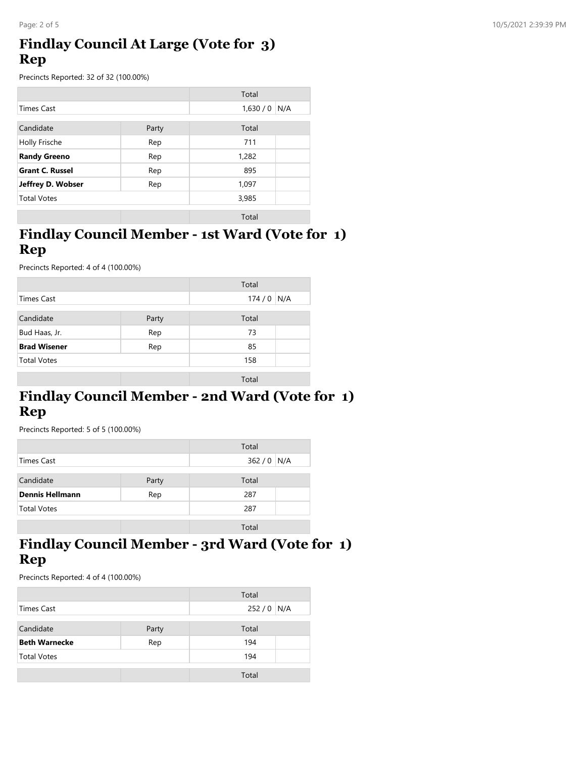### **Findlay Council At Large (Vote for 3) Rep**

Precincts Reported: 32 of 32 (100.00%)

|                        |       | Total          |  |
|------------------------|-------|----------------|--|
| <b>Times Cast</b>      |       | 1,630/0<br>N/A |  |
| Candidate              | Party | Total          |  |
| Holly Frische          | Rep   | 711            |  |
| <b>Randy Greeno</b>    | Rep   | 1,282          |  |
| <b>Grant C. Russel</b> | Rep   | 895            |  |
| Jeffrey D. Wobser      | Rep   | 1,097          |  |
| <b>Total Votes</b>     |       | 3,985          |  |
|                        |       | Total          |  |

#### **Findlay Council Member - 1st Ward (Vote for 1) Rep**

Precincts Reported: 4 of 4 (100.00%)

|                     |       | Total        |  |
|---------------------|-------|--------------|--|
| Times Cast          |       | 174/0<br>N/A |  |
|                     |       |              |  |
| Candidate           | Party | Total        |  |
| Bud Haas, Jr.       | Rep   | 73           |  |
| <b>Brad Wisener</b> | Rep   | 85           |  |
| <b>Total Votes</b>  |       | 158          |  |
|                     |       | Total        |  |
|                     |       |              |  |

# **Findlay Council Member - 2nd Ward (Vote for 1) Rep**

Precincts Reported: 5 of 5 (100.00%)

|                        |       | Total       |  |
|------------------------|-------|-------------|--|
| Times Cast             |       | $362/0$ N/A |  |
| Candidate              | Party | Total       |  |
| <b>Dennis Hellmann</b> | Rep   | 287         |  |
| <b>Total Votes</b>     |       | 287         |  |
|                        |       | Total       |  |

#### **Findlay Council Member - 3rd Ward (Vote for 1) Rep**

Precincts Reported: 4 of 4 (100.00%)

|                      |       | Total       |  |
|----------------------|-------|-------------|--|
| Times Cast           |       | $252/0$ N/A |  |
| Candidate            | Party | Total       |  |
| <b>Beth Warnecke</b> | Rep   | 194         |  |
| <b>Total Votes</b>   |       | 194         |  |
|                      |       |             |  |
|                      |       | Total       |  |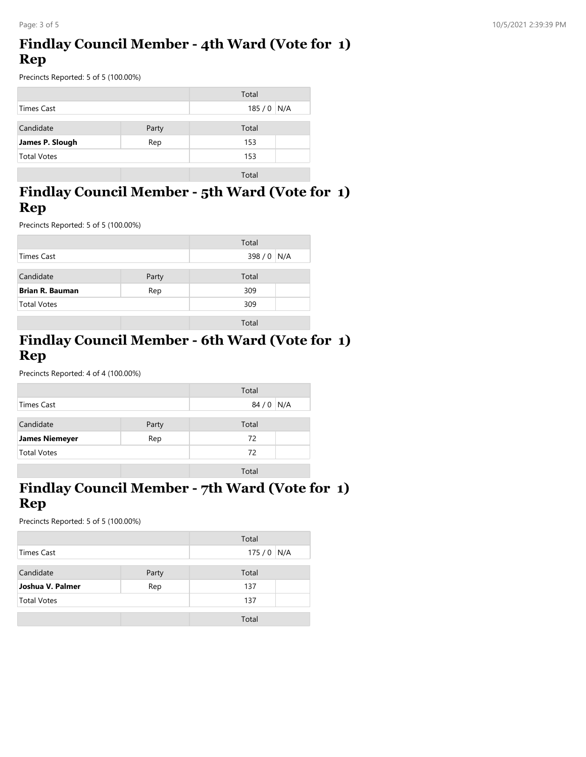## **Findlay Council Member - 4th Ward (Vote for 1) Rep**

Precincts Reported: 5 of 5 (100.00%)

|                    |       | Total       |  |
|--------------------|-------|-------------|--|
| Times Cast         |       | $185/0$ N/A |  |
| Candidate          | Party | Total       |  |
| James P. Slough    | Rep   | 153         |  |
| <b>Total Votes</b> |       | 153         |  |
|                    |       | Total       |  |

## **Findlay Council Member - 5th Ward (Vote for 1) Rep**

Precincts Reported: 5 of 5 (100.00%)

|                        |       | Total       |  |
|------------------------|-------|-------------|--|
| Times Cast             |       | 398 / 0 N/A |  |
| Candidate              | Party | Total       |  |
| <b>Brian R. Bauman</b> | Rep   | 309         |  |
| <b>Total Votes</b>     |       | 309         |  |
|                        |       | Total       |  |

#### **Findlay Council Member - 6th Ward (Vote for 1) Rep**

Precincts Reported: 4 of 4 (100.00%)

|                       |       | Total        |  |
|-----------------------|-------|--------------|--|
| <b>Times Cast</b>     |       | 84 / 0   N/A |  |
| Candidate             | Party | Total        |  |
| <b>James Niemeyer</b> | Rep   | 72           |  |
| <b>Total Votes</b>    |       | 72           |  |
|                       |       | Total        |  |

### **Findlay Council Member - 7th Ward (Vote for 1) Rep**

Precincts Reported: 5 of 5 (100.00%)

|                    |       | Total       |  |
|--------------------|-------|-------------|--|
| Times Cast         |       | $175/0$ N/A |  |
|                    |       |             |  |
| Candidate          | Party | Total       |  |
| Joshua V. Palmer   | Rep   | 137         |  |
| <b>Total Votes</b> |       | 137         |  |
|                    |       |             |  |
|                    |       | Total       |  |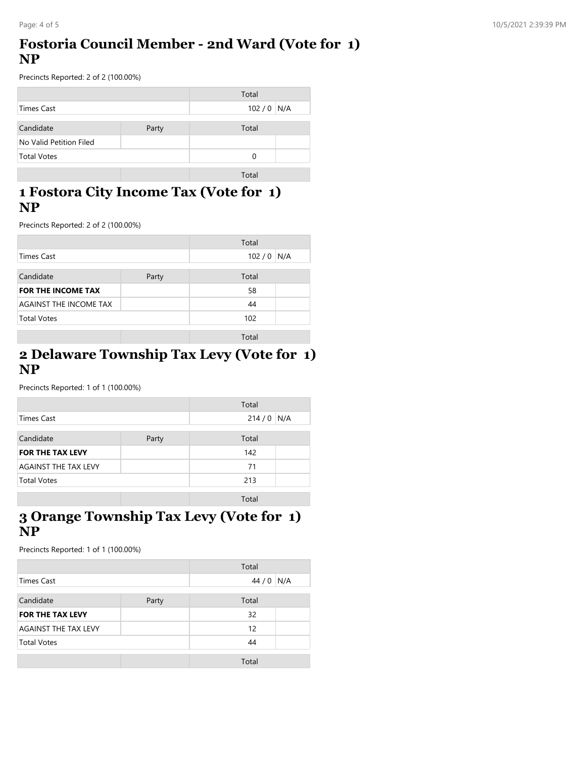#### **Fostoria Council Member - 2nd Ward (Vote for 1) NP**

Precincts Reported: 2 of 2 (100.00%)

|                         |       | Total       |  |
|-------------------------|-------|-------------|--|
| Times Cast              |       | $102/0$ N/A |  |
| Candidate               | Party | Total       |  |
| No Valid Petition Filed |       |             |  |
| <b>Total Votes</b>      |       | 0           |  |
|                         |       | Total       |  |

#### **1 Fostora City Income Tax (Vote for 1) NP**

Precincts Reported: 2 of 2 (100.00%)

|                           |       | Total |     |
|---------------------------|-------|-------|-----|
| <b>Times Cast</b>         |       | 102/0 | N/A |
| Candidate                 | Party | Total |     |
| <b>FOR THE INCOME TAX</b> |       | 58    |     |
| AGAINST THE INCOME TAX    |       | 44    |     |
| <b>Total Votes</b>        |       | 102   |     |
|                           |       | Total |     |

#### **2 Delaware Township Tax Levy (Vote for 1) NP**

Precincts Reported: 1 of 1 (100.00%)

|                             |       | Total       |  |
|-----------------------------|-------|-------------|--|
| Times Cast                  |       | $214/0$ N/A |  |
| Candidate                   | Party | Total       |  |
| <b>FOR THE TAX LEVY</b>     |       | 142         |  |
| <b>AGAINST THE TAX LEVY</b> |       | 71          |  |
| <b>Total Votes</b>          |       | 213         |  |
|                             |       | Total       |  |

#### **3 Orange Township Tax Levy (Vote for 1) NP**

Precincts Reported: 1 of 1 (100.00%)

|                             |       | Total |     |
|-----------------------------|-------|-------|-----|
| Times Cast                  |       | 44/0  | N/A |
|                             |       |       |     |
| Candidate                   | Party | Total |     |
| <b>FOR THE TAX LEVY</b>     |       | 32    |     |
| <b>AGAINST THE TAX LEVY</b> |       | 12    |     |
| <b>Total Votes</b>          |       | 44    |     |
|                             |       |       |     |
|                             |       | Total |     |